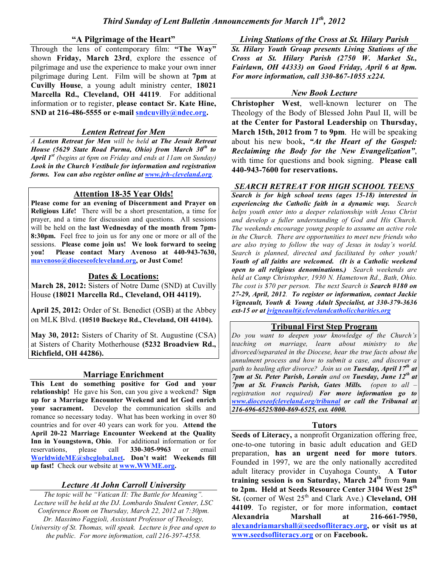#### **"A Pilgrimage of the Heart"**

Through the lens of contemporary film: **"The Way"** shown **Friday, March 23rd**, explore the essence of pilgrimage and use the experience to make your own inner pilgrimage during Lent. Film will be shown at **7pm** at **Cuvilly House**, a young adult ministry center, **18021 Marcella Rd., Cleveland, OH 44119**. For additional information or to register, **please contact Sr. Kate Hine, SND at 216-486-5555 or e-mail sndcuvilly@ndec.org.**

#### *Lenten Retreat for Men*

*A Lenten Retreat for Men will be held at The Jesuit Retreat House (5629 State Road Parma, Ohio) from March 30th to April 1st (begins at 6pm on Friday and ends at 11am on Sunday) Look in the Church Vestibule for information and registration forms. You can also register online at www.jrh-cleveland.org.*

## **Attention 18-35 Year Olds!**

**Please come for an evening of Discernment and Prayer on Religious Life!** There will be a short presentation, a time for prayer, and a time for discussion and questions. All sessions will be held on the **last Wednesday of the month from 7pm-8:30pm.** Feel free to join us for any one or more or all of the sessions. **Please come join us! We look forward to seeing you! Please contact Mary Avenoso at 440-943-7630, mavenoso@dioceseofcleveland.org, or Just Come!**

## **Dates & Locations:**

**March 28, 2012:** Sisters of Notre Dame (SND) at Cuvilly House **(18021 Marcella Rd., Cleveland, OH 44119).**

**April 25, 2012:** Order of St. Benedict (OSB) at the Abbey on MLK Blvd. **(10510 Buckeye Rd., Cleveland, OH 44104).**

**May 30, 2012:** Sisters of Charity of St. Augustine (CSA) at Sisters of Charity Motherhouse **(5232 Broadview Rd., Richfield, OH 44286).**

## **Marriage Enrichment**

**This Lent do something positive for God and your relationship!** He gave his Son, can you give a weekend? **Sign up for a Marriage Encounter Weekend and let God enrich your sacrament.** Develop the communication skills and romance so necessary today. What has been working in over 80 countries and for over 40 years can work for you. **Attend the April 20-22 Marriage Encounter Weekend at the Quality Inn in Youngstown, Ohio**. For additional information or for reservations, please call **330-305-9963** or email **WorldwideME@sbcglobal.net. Don't wait! Weekends fill up fast!** Check our website at **www.WWME.org.**

## *Lecture At John Carroll University*

*The topic will be "Vatican II: The Battle for Meaning". Lecture will be held at the DJ. Lombardo Student Center, LSC Conference Room on Thursday, March 22, 2012 at 7:30pm. Dr. Massimo Faggioli, Assistant Professor of Theology, University of St. Thomas, will speak. Lecture is free and open to the public. For more information, call 216-397-4558.*

*Living Stations of the Cross at St. Hilary Parish St. Hilary Youth Group presents Living Stations of the Cross at St. Hilary Parish (2750 W. Market St., Fairlawn, OH 44333) on Good Friday, April 6 at 8pm. For more information, call 330-867-1055 x224.*

#### *New Book Lecture*

**Christopher West**, well-known lecturer on The Theology of the Body of Blessed John Paul II, will be **at the Center for Pastoral Leadership** on **Thursday, March 15th, 2012 from 7 to 9pm**. He will be speaking about his new book**,** *"At the Heart of the Gospel: Reclaiming the Body for the New Evangelization"*, with time for questions and book signing. **Please call 440-943-7600 for reservations.**

#### *SEARCH RETREAT FOR HIGH SCHOOL TEENS*

*Search is for high school teens (ages 15-18) interested in experiencing the Catholic faith in a dynamic way. Search helps youth enter into a deeper relationship with Jesus Christ and develop a fuller understanding of God and His Church. The weekends encourage young people to assume an active role in the Church. There are opportunities to meet new friends who are also trying to follow the way of Jesus in today's world. Search is planned, directed and facilitated by other youth! Youth of all faiths are welcomed. (It is a Catholic weekend open to all religious denominations.) Search weekends are held at Camp Christopher, 1930 N. Hametown Rd., Bath, Ohio. The cost is \$70 per person. The next Search is Search #180 on 27-29, April, 2012. To register or information, contact Jackie Vigneault, Youth & Young Adult Specialist, at 330-379-3636 ext-15 or at jvigneault@clevelandcatholiccharities.org*

## **Tribunal First Step Program**

*Do you want to deepen your knowledge of the Church's teaching on marriage, learn about ministry to the divorced/separated in the Diocese, hear the true facts about the annulment process and how to submit a case, and discover a path to healing after divorce? Join us on Tuesday, April 17th at 7pm at St. Peter Parish, Lorain and on Tuesday, June 12th at 7pm at St. Francis Parish, Gates Mills. (open to all – registration not required) For more information go to www.dioceseofcleveland.org/tribunal or call the Tribunal at 216-696-6525/800-869-6525, ext. 4000.*

#### **Tutors**

**Seeds of Literacy,** a nonprofit Organization offering free, one-to-one tutoring in basic adult education and GED preparation, **has an urgent need for more tutors**. Founded in 1997, we are the only nationally accredited adult literacy provider in Cuyahoga County. **A Tutor training session is on Saturday, March 24th** from **9am to 2pm. Held at Seeds Resource Center 3104 West 25th** St. (corner of West 25<sup>th</sup> and Clark Ave.) Cleveland, OH **44109**. To register, or for more information, **contact Alexandria Marshall at 216-661-7950, alexandriamarshall@seedsofliteracy.org, or visit us at www.seedsofliteracy.org** or on **Facebook.**